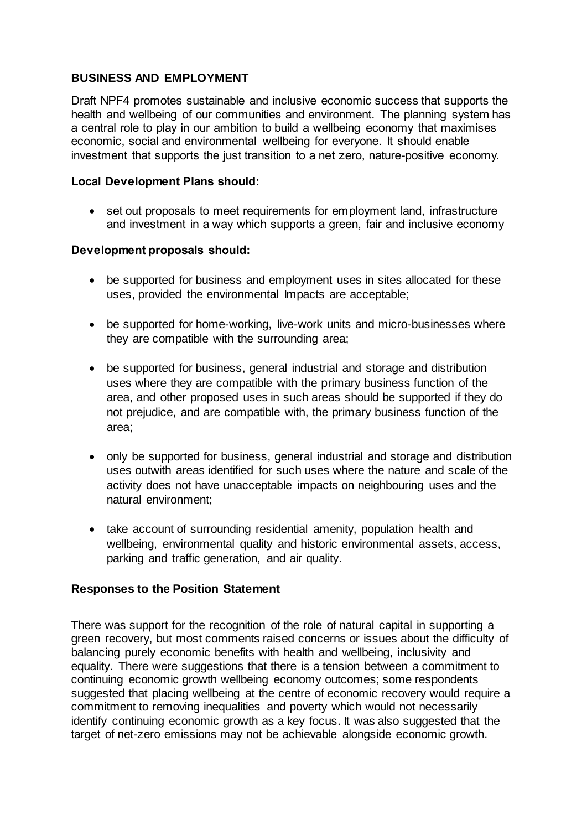# **BUSINESS AND EMPLOYMENT**

Draft NPF4 promotes sustainable and inclusive economic success that supports the health and wellbeing of our communities and environment. The planning system has a central role to play in our ambition to build a wellbeing economy that maximises economic, social and environmental wellbeing for everyone. It should enable investment that supports the just transition to a net zero, nature-positive economy.

## **Local Development Plans should:**

• set out proposals to meet requirements for employment land, infrastructure and investment in a way which supports a green, fair and inclusive economy

## **Development proposals should:**

- be supported for business and employment uses in sites allocated for these uses, provided the environmental Impacts are acceptable;
- be supported for home-working, live-work units and micro-businesses where they are compatible with the surrounding area;
- be supported for business, general industrial and storage and distribution uses where they are compatible with the primary business function of the area, and other proposed uses in such areas should be supported if they do not prejudice, and are compatible with, the primary business function of the area;
- only be supported for business, general industrial and storage and distribution uses outwith areas identified for such uses where the nature and scale of the activity does not have unacceptable impacts on neighbouring uses and the natural environment;
- take account of surrounding residential amenity, population health and wellbeing, environmental quality and historic environmental assets, access, parking and traffic generation, and air quality.

## **Responses to the Position Statement**

There was support for the recognition of the role of natural capital in supporting a green recovery, but most comments raised concerns or issues about the difficulty of balancing purely economic benefits with health and wellbeing, inclusivity and equality. There were suggestions that there is a tension between a commitment to continuing economic growth wellbeing economy outcomes; some respondents suggested that placing wellbeing at the centre of economic recovery would require a commitment to removing inequalities and poverty which would not necessarily identify continuing economic growth as a key focus. It was also suggested that the target of net-zero emissions may not be achievable alongside economic growth.